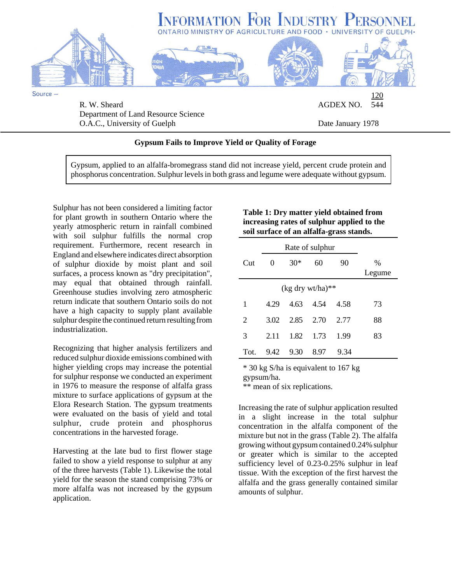

O.A.C., University of Guelph Date January 1978

## **Gypsum Fails to Improve Yield or Quality of Forage**

Gypsum, applied to an alfalfa-bromegrass stand did not increase yield, percent crude protein and phosphorus concentration. Sulphur levels in both grass and legume were adequate without gypsum.

Sulphur has not been considered a limiting factor for plant growth in southern Ontario where the yearly atmospheric return in rainfall combined with soil sulphur fulfills the normal crop requirement. Furthermore, recent research in England and elsewhere indicates direct absorption of sulphur dioxide by moist plant and soil surfaces, a process known as "dry precipitation", may equal that obtained through rainfall. Greenhouse studies involving zero atmospheric return indicate that southern Ontario soils do not have a high capacity to supply plant available sulphur despite the continued return resulting from industrialization.

Recognizing that higher analysis fertilizers and reduced sulphur dioxide emissions combined with higher yielding crops may increase the potential for sulphur response we conducted an experiment in 1976 to measure the response of alfalfa grass mixture to surface applications of gypsum at the Elora Research Station. The gypsum treatments were evaluated on the basis of yield and total sulphur, crude protein and phosphorus concentrations in the harvested forage.

Harvesting at the late bud to first flower stage failed to show a yield response to sulphur at any of the three harvests (Table 1). Likewise the total yield for the season the stand comprising 73% or more alfalfa was not increased by the gypsum application.

## **Table 1: Dry matter yield obtained from increasing rates of sulphur applied to the soil surface of an alfalfa-grass stands.**

| Rate of sulphur |      |       |      |      |                         |
|-----------------|------|-------|------|------|-------------------------|
| Cut             | 0    | $30*$ | 60   | 90   | $\frac{0}{0}$<br>Legume |
|                 |      |       |      |      |                         |
| 1               | 4.29 | 4.63  | 4.54 | 4.58 | 73                      |
| 2               | 3.02 | 2.85  | 2.70 | 2.77 | 88                      |
| 3               | 2.11 | 1.82  | 1.73 | 1.99 | 83                      |
| Tot.            | 9.42 | 9.30  | 8.97 | 9.34 |                         |

\* 30 kg S/ha is equivalent to 167 kg

gypsum/ha.

\*\* mean of six replications.

Increasing the rate of sulphur application resulted in a slight increase in the total sulphur concentration in the alfalfa component of the mixture but not in the grass (Table 2). The alfalfa growing without gypsum contained 0.24% sulphur or greater which is similar to the accepted sufficiency level of 0.23-0.25% sulphur in leaf tissue. With the exception of the first harvest the alfalfa and the grass generally contained similar amounts of sulphur.